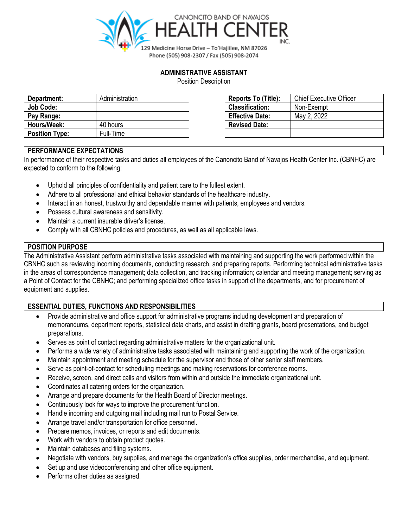

## **ADMINISTRATIVE ASSISTANT**

Position Description

| Department:           | Administration | Reports To (Title):    | <b>Chief Executive Officer</b> |
|-----------------------|----------------|------------------------|--------------------------------|
| Job Code:             |                | <b>Classification:</b> | Non-Exempt                     |
| Pay Range:            |                | <b>Effective Date:</b> | May 2, 2022                    |
| Hours/Week:           | 40 hours       | <b>Revised Date:</b>   |                                |
| <b>Position Type:</b> | Full-Time      |                        |                                |

| Reports To (Title):    | <b>Chief Executive Officer</b> |
|------------------------|--------------------------------|
| <b>Classification:</b> | Non-Exempt                     |
| <b>Effective Date:</b> | May 2, 2022                    |
| <b>Revised Date:</b>   |                                |
|                        |                                |

# **PERFORMANCE EXPECTATIONS**

In performance of their respective tasks and duties all employees of the Canoncito Band of Navajos Health Center Inc. (CBNHC) are expected to conform to the following:

- Uphold all principles of confidentiality and patient care to the fullest extent.
- Adhere to all professional and ethical behavior standards of the healthcare industry.
- Interact in an honest, trustworthy and dependable manner with patients, employees and vendors.
- Possess cultural awareness and sensitivity.
- Maintain a current insurable driver's license.
- Comply with all CBNHC policies and procedures, as well as all applicable laws.

## **POSITION PURPOSE**

The Administrative Assistant perform administrative tasks associated with maintaining and supporting the work performed within the CBNHC such as reviewing incoming documents, conducting research, and preparing reports. Performing technical administrative tasks in the areas of correspondence management; data collection, and tracking information; calendar and meeting management; serving as a Point of Contact for the CBNHC; and performing specialized office tasks in support of the departments, and for procurement of equipment and supplies.

## **ESSENTIAL DUTIES, FUNCTIONS AND RESPONSIBILITIES**

- Provide administrative and office support for administrative programs including development and preparation of memorandums, department reports, statistical data charts, and assist in drafting grants, board presentations, and budget preparations.
- Serves as point of contact regarding administrative matters for the organizational unit.
- Performs a wide variety of administrative tasks associated with maintaining and supporting the work of the organization.
- Maintain appointment and meeting schedule for the supervisor and those of other senior staff members.
- Serve as point-of-contact for scheduling meetings and making reservations for conference rooms.
- Receive, screen, and direct calls and visitors from within and outside the immediate organizational unit.
- Coordinates all catering orders for the organization.
- Arrange and prepare documents for the Health Board of Director meetings.
- Continuously look for ways to improve the procurement function.
- Handle incoming and outgoing mail including mail run to Postal Service.
- Arrange travel and/or transportation for office personnel.
- Prepare memos, invoices, or reports and edit documents.
- Work with vendors to obtain product quotes.
- Maintain databases and filing systems.
- Negotiate with vendors, buy supplies, and manage the organization's office supplies, order merchandise, and equipment.
- Set up and use videoconferencing and other office equipment.
- Performs other duties as assigned.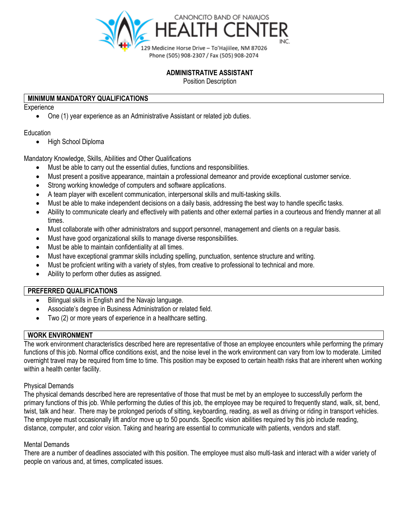

## **ADMINISTRATIVE ASSISTANT**

Position Description

## **MINIMUM MANDATORY QUALIFICATIONS**

**Experience** 

• One (1) year experience as an Administrative Assistant or related job duties.

### **Education**

• High School Diploma

Mandatory Knowledge, Skills, Abilities and Other Qualifications

- Must be able to carry out the essential duties, functions and responsibilities.
- Must present a positive appearance, maintain a professional demeanor and provide exceptional customer service.
- Strong working knowledge of computers and software applications.
- A team player with excellent communication, interpersonal skills and multi-tasking skills.
- Must be able to make independent decisions on a daily basis, addressing the best way to handle specific tasks.
- Ability to communicate clearly and effectively with patients and other external parties in a courteous and friendly manner at all times.
- Must collaborate with other administrators and support personnel, management and clients on a regular basis.
- Must have good organizational skills to manage diverse responsibilities.
- Must be able to maintain confidentiality at all times.
- Must have exceptional grammar skills including spelling, punctuation, sentence structure and writing.
- Must be proficient writing with a variety of styles, from creative to professional to technical and more.
- Ability to perform other duties as assigned.

### **PREFERRED QUALIFICATIONS**

- Bilingual skills in English and the Navajo language.
- Associate's degree in Business Administration or related field.
- Two (2) or more years of experience in a healthcare setting.

## **WORK ENVIRONMENT**

The work environment characteristics described here are representative of those an employee encounters while performing the primary functions of this job. Normal office conditions exist, and the noise level in the work environment can vary from low to moderate. Limited overnight travel may be required from time to time. This position may be exposed to certain health risks that are inherent when working within a health center facility.

#### Physical Demands

The physical demands described here are representative of those that must be met by an employee to successfully perform the primary functions of this job. While performing the duties of this job, the employee may be required to frequently stand, walk, sit, bend, twist, talk and hear. There may be prolonged periods of sitting, keyboarding, reading, as well as driving or riding in transport vehicles. The employee must occasionally lift and/or move up to 50 pounds. Specific vision abilities required by this job include reading, distance, computer, and color vision. Taking and hearing are essential to communicate with patients, vendors and staff.

## Mental Demands

There are a number of deadlines associated with this position. The employee must also multi-task and interact with a wider variety of people on various and, at times, complicated issues.